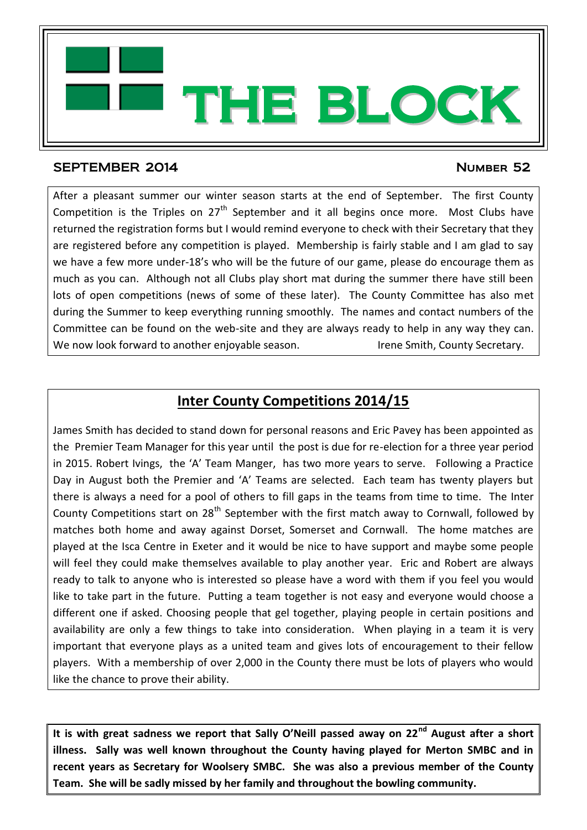

## SEPTEMBER 2014 **NUMBER 52**

After a pleasant summer our winter season starts at the end of September. The first County Competition is the Triples on  $27<sup>th</sup>$  September and it all begins once more. Most Clubs have returned the registration forms but I would remind everyone to check with their Secretary that they are registered before any competition is played. Membership is fairly stable and I am glad to say we have a few more under-18's who will be the future of our game, please do encourage them as much as you can. Although not all Clubs play short mat during the summer there have still been lots of open competitions (news of some of these later). The County Committee has also met during the Summer to keep everything running smoothly. The names and contact numbers of the Committee can be found on the web-site and they are always ready to help in any way they can. We now look forward to another enjoyable season. In the Smith, County Secretary.

THE BLOCK

## **Inter County Competitions 2014/15**

James Smith has decided to stand down for personal reasons and Eric Pavey has been appointed as the Premier Team Manager for this year until the post is due for re-election for a three year period in 2015. Robert Ivings, the 'A' Team Manger, has two more years to serve. Following a Practice Day in August both the Premier and 'A' Teams are selected. Each team has twenty players but there is always a need for a pool of others to fill gaps in the teams from time to time. The Inter County Competitions start on  $28<sup>th</sup>$  September with the first match away to Cornwall, followed by matches both home and away against Dorset, Somerset and Cornwall. The home matches are played at the Isca Centre in Exeter and it would be nice to have support and maybe some people will feel they could make themselves available to play another year. Eric and Robert are always ready to talk to anyone who is interested so please have a word with them if you feel you would like to take part in the future. Putting a team together is not easy and everyone would choose a different one if asked. Choosing people that gel together, playing people in certain positions and availability are only a few things to take into consideration. When playing in a team it is very important that everyone plays as a united team and gives lots of encouragement to their fellow players. With a membership of over 2,000 in the County there must be lots of players who would like the chance to prove their ability.

**It is with great sadness we report that Sally O'Neill passed away on 22nd August after a short illness. Sally was well known throughout the County having played for Merton SMBC and in recent years as Secretary for Woolsery SMBC. She was also a previous member of the County Team. She will be sadly missed by her family and throughout the bowling community.**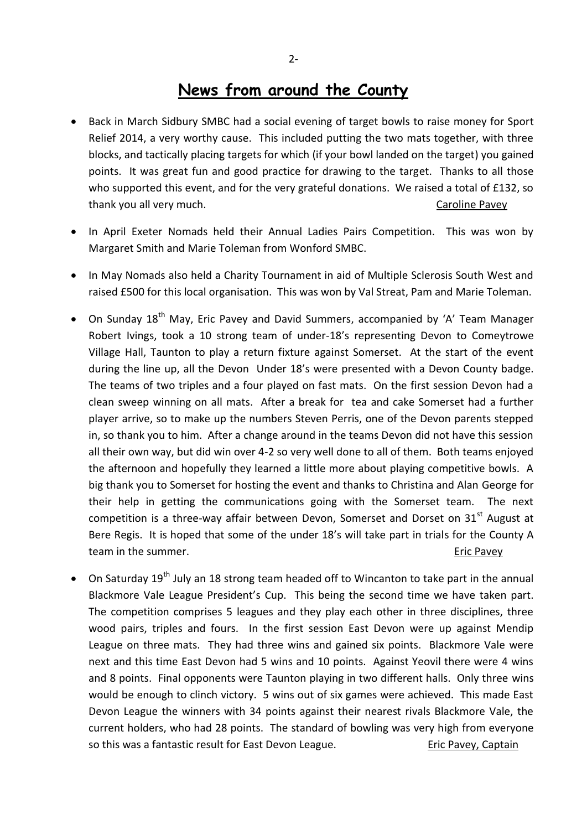- Back in March Sidbury SMBC had a social evening of target bowls to raise money for Sport Relief 2014, a very worthy cause. This included putting the two mats together, with three blocks, and tactically placing targets for which (if your bowl landed on the target) you gained points. It was great fun and good practice for drawing to the target. Thanks to all those who supported this event, and for the very grateful donations. We raised a total of £132, so thank you all very much. The same of the caroline Pavey caroline Pavey
- In April Exeter Nomads held their Annual Ladies Pairs Competition. This was won by Margaret Smith and Marie Toleman from Wonford SMBC.
- In May Nomads also held a Charity Tournament in aid of Multiple Sclerosis South West and raised £500 for this local organisation. This was won by Val Streat, Pam and Marie Toleman.
- On Sunday  $18<sup>th</sup>$  May, Eric Pavey and David Summers, accompanied by 'A' Team Manager Robert Ivings, took a 10 strong team of under-18's representing Devon to Comeytrowe Village Hall, Taunton to play a return fixture against Somerset. At the start of the event during the line up, all the Devon Under 18's were presented with a Devon County badge. The teams of two triples and a four played on fast mats. On the first session Devon had a clean sweep winning on all mats. After a break for tea and cake Somerset had a further player arrive, so to make up the numbers Steven Perris, one of the Devon parents stepped in, so thank you to him. After a change around in the teams Devon did not have this session all their own way, but did win over 4-2 so very well done to all of them. Both teams enjoyed the afternoon and hopefully they learned a little more about playing competitive bowls. A big thank you to Somerset for hosting the event and thanks to Christina and Alan George for their help in getting the communications going with the Somerset team. The next competition is a three-way affair between Devon, Somerset and Dorset on  $31<sup>st</sup>$  August at Bere Regis. It is hoped that some of the under 18's will take part in trials for the County A team in the summer. The state of the summer.
- $\bullet$  On Saturday 19<sup>th</sup> July an 18 strong team headed off to Wincanton to take part in the annual Blackmore Vale League President's Cup. This being the second time we have taken part. The competition comprises 5 leagues and they play each other in three disciplines, three wood pairs, triples and fours. In the first session East Devon were up against Mendip League on three mats. They had three wins and gained six points. Blackmore Vale were next and this time East Devon had 5 wins and 10 points. Against Yeovil there were 4 wins and 8 points. Final opponents were Taunton playing in two different halls. Only three wins would be enough to clinch victory. 5 wins out of six games were achieved. This made East Devon League the winners with 34 points against their nearest rivals Blackmore Vale, the current holders, who had 28 points. The standard of bowling was very high from everyone so this was a fantastic result for East Devon League. The example ric Pavey, Captain